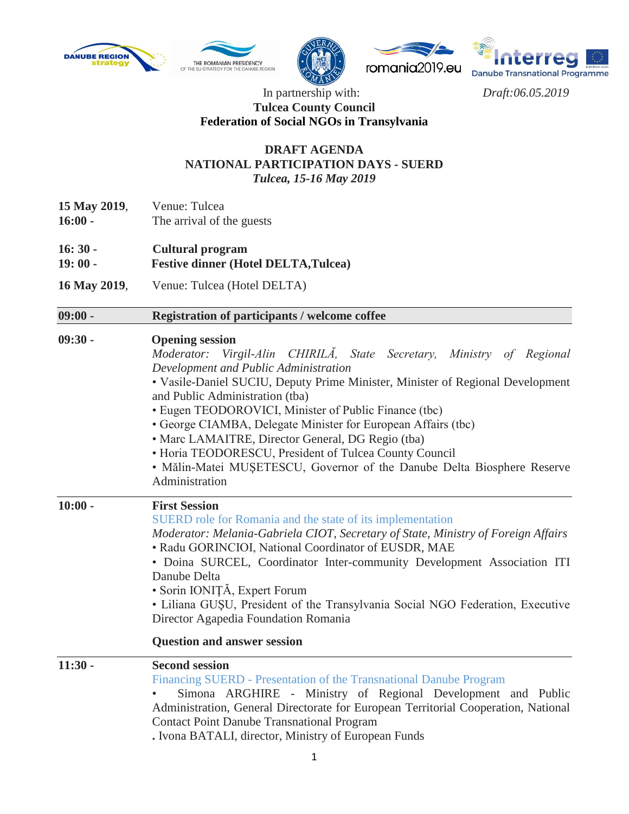







## In partnership with: *Draft:06.05.2019* **Tulcea County Council Federation of Social NGOs in Transylvania**

## **DRAFT AGENDA NATIONAL PARTICIPATION DAYS - SUERD** *Tulcea, 15-16 May 2019*

- **15 May 2019**, Venue: Tulcea
- **16:00 -** The arrival of the guests
- **16: 30 Cultural program**
- **19: 00 - Festive dinner (Hotel DELTA,Tulcea)**
- **16 May 2019**, Venue: Tulcea (Hotel DELTA)

## **09:00 - Registration of participants / welcome coffee 09:30 - Opening session**

| Moderator: Virgil-Alin CHIRILA, State Secretary, Ministry of Regional |  |  |  |  |
|-----------------------------------------------------------------------|--|--|--|--|
| Development and Public Administration                                 |  |  |  |  |

- Vasile-Daniel SUCIU, Deputy Prime Minister, Minister of Regional Development and Public Administration (tba)
- Eugen TEODOROVICI, Minister of Public Finance (tbc)
- George CIAMBA, Delegate Minister for European Affairs (tbc)
- Marc LAMAITRE, Director General, DG Regio (tba)
- Horia TEODORESCU, President of Tulcea County Council
- Mălin-Matei MUŞETESCU, Governor of the Danube Delta Biosphere Reserve Administration

| $10:00 -$ | <b>First Session</b><br>SUERD role for Romania and the state of its implementation<br>Moderator: Melania-Gabriela CIOT, Secretary of State, Ministry of Foreign Affairs<br>• Radu GORINCIOI, National Coordinator of EUSDR, MAE<br>• Doina SURCEL, Coordinator Inter-community Development Association ITI<br>Danube Delta<br>• Sorin IONIȚĂ, Expert Forum<br>• Liliana GUȘU, President of the Transylvania Social NGO Federation, Executive<br>Director Agapedia Foundation Romania |  |  |  |  |
|-----------|--------------------------------------------------------------------------------------------------------------------------------------------------------------------------------------------------------------------------------------------------------------------------------------------------------------------------------------------------------------------------------------------------------------------------------------------------------------------------------------|--|--|--|--|
|           | <b>Question and answer session</b>                                                                                                                                                                                                                                                                                                                                                                                                                                                   |  |  |  |  |
| $11:30 -$ | <b>Second session</b><br>Financing SUERD - Presentation of the Transnational Danube Program<br>Simona ARGHIRE - Ministry of Regional Development and Public<br>$\bullet$<br>Administration, General Directorate for European Territorial Cooperation, National<br><b>Contact Point Danube Transnational Program</b>                                                                                                                                                                  |  |  |  |  |

**.** Ivona BATALI, director, Ministry of European Funds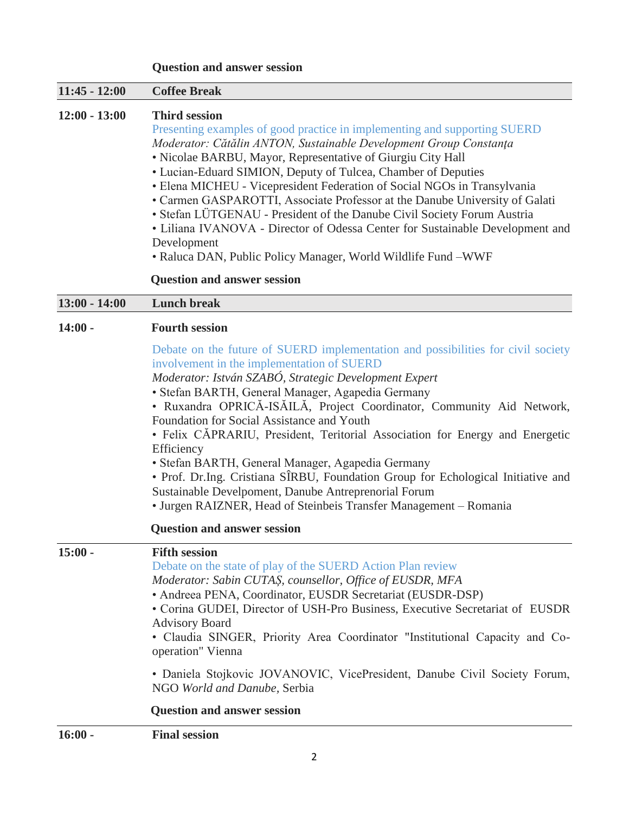|                 | <b>Question and answer session</b>                                                                                                                                                                                                                                                                                                                                                                                                                                                                                                                                                                                                                                                                                                      |  |  |  |  |  |
|-----------------|-----------------------------------------------------------------------------------------------------------------------------------------------------------------------------------------------------------------------------------------------------------------------------------------------------------------------------------------------------------------------------------------------------------------------------------------------------------------------------------------------------------------------------------------------------------------------------------------------------------------------------------------------------------------------------------------------------------------------------------------|--|--|--|--|--|
| $11:45 - 12:00$ | <b>Coffee Break</b>                                                                                                                                                                                                                                                                                                                                                                                                                                                                                                                                                                                                                                                                                                                     |  |  |  |  |  |
| $12:00 - 13:00$ | <b>Third session</b><br>Presenting examples of good practice in implementing and supporting SUERD<br>Moderator: Cătălin ANTON, Sustainable Development Group Constanța<br>• Nicolae BARBU, Mayor, Representative of Giurgiu City Hall<br>• Lucian-Eduard SIMION, Deputy of Tulcea, Chamber of Deputies<br>• Elena MICHEU - Vicepresident Federation of Social NGOs in Transylvania<br>• Carmen GASPAROTTI, Associate Professor at the Danube University of Galati<br>· Stefan LÜTGENAU - President of the Danube Civil Society Forum Austria<br>• Liliana IVANOVA - Director of Odessa Center for Sustainable Development and<br>Development<br>• Raluca DAN, Public Policy Manager, World Wildlife Fund -WWF                           |  |  |  |  |  |
|                 | <b>Question and answer session</b>                                                                                                                                                                                                                                                                                                                                                                                                                                                                                                                                                                                                                                                                                                      |  |  |  |  |  |
| $13:00 - 14:00$ | <b>Lunch break</b>                                                                                                                                                                                                                                                                                                                                                                                                                                                                                                                                                                                                                                                                                                                      |  |  |  |  |  |
| $14:00 -$       | <b>Fourth session</b>                                                                                                                                                                                                                                                                                                                                                                                                                                                                                                                                                                                                                                                                                                                   |  |  |  |  |  |
|                 | Debate on the future of SUERD implementation and possibilities for civil society<br>involvement in the implementation of SUERD<br>Moderator: István SZABÓ, Strategic Development Expert<br>· Stefan BARTH, General Manager, Agapedia Germany<br>· Ruxandra OPRICĂ-ISĂILĂ, Project Coordinator, Community Aid Network,<br>Foundation for Social Assistance and Youth<br>• Felix CĂPRARIU, President, Teritorial Association for Energy and Energetic<br>Efficiency<br>· Stefan BARTH, General Manager, Agapedia Germany<br>· Prof. Dr.Ing. Cristiana SÎRBU, Foundation Group for Echological Initiative and<br>Sustainable Develpoment, Danube Antreprenorial Forum<br>• Jurgen RAIZNER, Head of Steinbeis Transfer Management - Romania |  |  |  |  |  |
|                 | <b>Question and answer session</b>                                                                                                                                                                                                                                                                                                                                                                                                                                                                                                                                                                                                                                                                                                      |  |  |  |  |  |
| $15:00 -$       | <b>Fifth session</b><br>Debate on the state of play of the SUERD Action Plan review<br>Moderator: Sabin CUTAS, counsellor, Office of EUSDR, MFA<br>• Andreea PENA, Coordinator, EUSDR Secretariat (EUSDR-DSP)<br>• Corina GUDEI, Director of USH-Pro Business, Executive Secretariat of EUSDR<br><b>Advisory Board</b><br>· Claudia SINGER, Priority Area Coordinator "Institutional Capacity and Co-<br>operation" Vienna<br>• Daniela Stojkovic JOVANOVIC, VicePresident, Danube Civil Society Forum,<br>NGO World and Danube, Serbia                                                                                                                                                                                                 |  |  |  |  |  |

## **Question and answer session**

**16:00 - Final session**